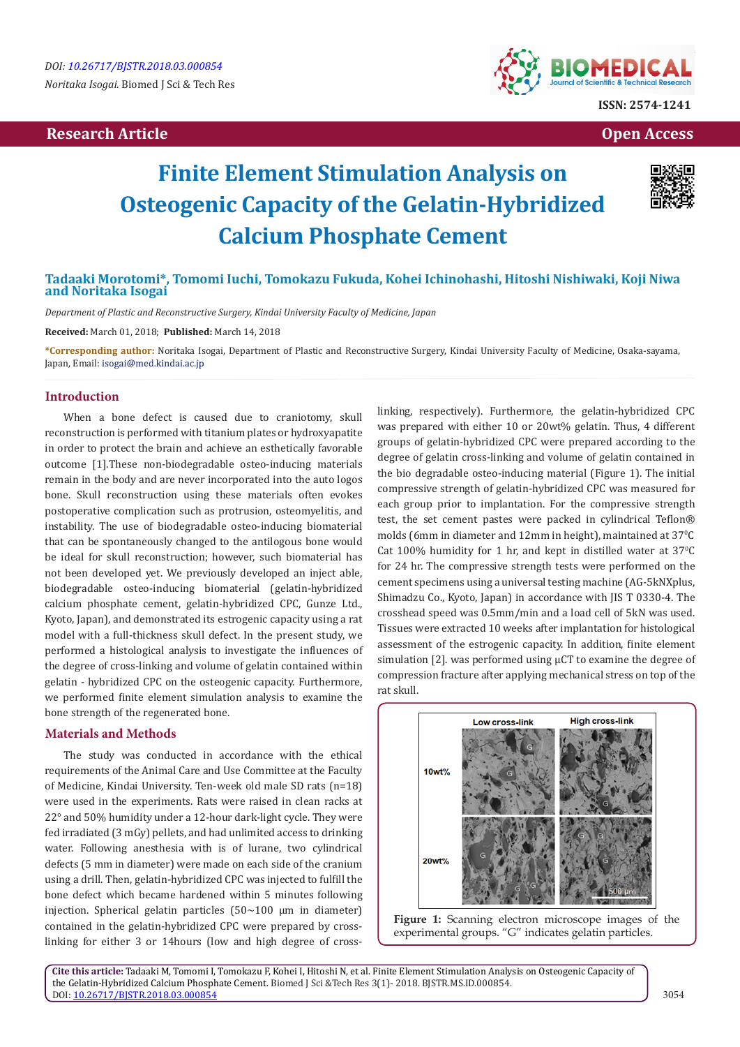## **Research Article Open Access Contract Article Open Access Open Access Open Access**



# **Finite Element Stimulation Analysis on Osteogenic Capacity of the Gelatin-Hybridized Calcium Phosphate Cement**



## **Tadaaki Morotomi\*, Tomomi Iuchi, Tomokazu Fukuda, Kohei Ichinohashi, Hitoshi Nishiwaki, Koji Niwa and Noritaka Isogai**

*Department of Plastic and Reconstructive Surgery, Kindai University Faculty of Medicine, Japan*

**Received:** March 01, 2018; **Published:** March 14, 2018

**\*Corresponding author:** Noritaka Isogai, Department of Plastic and Reconstructive Surgery, Kindai University Faculty of Medicine, Osaka-sayama, Japan, Email: isogai@med.kindai.ac.jp

## **Introduction**

When a bone defect is caused due to craniotomy, skull reconstruction is performed with titanium plates or hydroxyapatite in order to protect the brain and achieve an esthetically favorable outcome [1].These non-biodegradable osteo-inducing materials remain in the body and are never incorporated into the auto logos bone. Skull reconstruction using these materials often evokes postoperative complication such as protrusion, osteomyelitis, and instability. The use of biodegradable osteo-inducing biomaterial that can be spontaneously changed to the antilogous bone would be ideal for skull reconstruction; however, such biomaterial has not been developed yet. We previously developed an inject able, biodegradable osteo-inducing biomaterial (gelatin-hybridized calcium phosphate cement, gelatin-hybridized CPC, Gunze Ltd., Kyoto, Japan), and demonstrated its estrogenic capacity using a rat model with a full-thickness skull defect. In the present study, we performed a histological analysis to investigate the influences of the degree of cross-linking and volume of gelatin contained within gelatin - hybridized CPC on the osteogenic capacity. Furthermore, we performed finite element simulation analysis to examine the bone strength of the regenerated bone.

## **Materials and Methods**

The study was conducted in accordance with the ethical requirements of the Animal Care and Use Committee at the Faculty of Medicine, Kindai University. Ten-week old male SD rats (n=18) were used in the experiments. Rats were raised in clean racks at 22° and 50% humidity under a 12-hour dark-light cycle. They were fed irradiated (3 mGy) pellets, and had unlimited access to drinking water. Following anesthesia with is of lurane, two cylindrical defects (5 mm in diameter) were made on each side of the cranium using a drill. Then, gelatin-hybridized CPC was injected to fulfill the bone defect which became hardened within 5 minutes following injection. Spherical gelatin particles  $(50~100 \mu m)$  in diameter) contained in the gelatin-hybridized CPC were prepared by crosslinking for either 3 or 14hours (low and high degree of crosslinking, respectively). Furthermore, the gelatin-hybridized CPC was prepared with either 10 or 20wt% gelatin. Thus, 4 different groups of gelatin-hybridized CPC were prepared according to the degree of gelatin cross-linking and volume of gelatin contained in the bio degradable osteo-inducing material (Figure 1). The initial compressive strength of gelatin-hybridized CPC was measured for each group prior to implantation. For the compressive strength test, the set cement pastes were packed in cylindrical Teflon® molds (6 $\,$ mm in diameter and  $12$ mm in height), maintained at  $37^{\circ}$ C  $Cat 100\%$  humidity for 1 hr, and kept in distilled water at 37 $°C$ for 24 hr. The compressive strength tests were performed on the cement specimens using a universal testing machine (AG-5kNXplus, Shimadzu Co., Kyoto, Japan) in accordance with JIS T 0330-4. The crosshead speed was 0.5mm/min and a load cell of 5kN was used. Tissues were extracted 10 weeks after implantation for histological assessment of the estrogenic capacity. In addition, finite element simulation [2]. was performed using  $\mu$ CT to examine the degree of compression fracture after applying mechanical stress on top of the rat skull.





**Cite this article:** Tadaaki M, Tomomi I, Tomokazu F, Kohei I, Hitoshi N, et al. Finite Element Stimulation Analysis on Osteogenic Capacity of the Gelatin-Hybridized Calcium Phosphate Cement. Biomed J Sci &Tech Res 3(1)- 2018. BJSTR.MS.ID.000854. DOI: [10.26717/BJSTR.2018.03.000854](http://dx.doi.org/10.26717/BJSTR.2018.03.000854)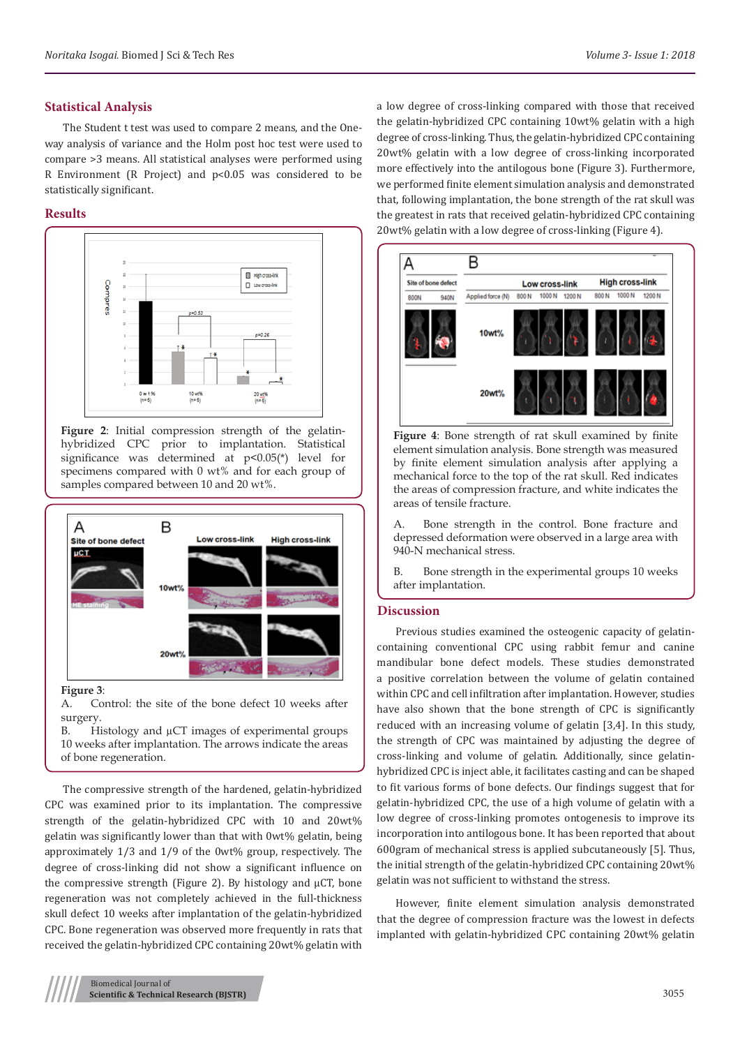## **Statistical Analysis**

The Student t test was used to compare 2 means, and the Oneway analysis of variance and the Holm post hoc test were used to compare >3 means. All statistical analyses were performed using R Environment (R Project) and p<0.05 was considered to be statistically significant.

## **Results**



**Figure 2**: Initial compression strength of the gelatinhybridized CPC prior to implantation. Statistical significance was determined at  $p<0.05(*)$  level for specimens compared with 0 wt% and for each group of samples compared between 10 and 20 wt%.



#### **Figure 3**:

A. Control: the site of the bone defect 10 weeks after surgery.

B. Histology and  $\mu$ CT images of experimental groups 10 weeks after implantation. The arrows indicate the areas of bone regeneration.

The compressive strength of the hardened, gelatin-hybridized CPC was examined prior to its implantation. The compressive strength of the gelatin-hybridized CPC with 10 and 20wt% gelatin was significantly lower than that with 0wt% gelatin, being approximately 1/3 and 1/9 of the 0wt% group, respectively. The degree of cross-linking did not show a significant influence on the compressive strength (Figure 2). By histology and µCT, bone regeneration was not completely achieved in the full-thickness skull defect 10 weeks after implantation of the gelatin-hybridized CPC. Bone regeneration was observed more frequently in rats that received the gelatin-hybridized CPC containing 20wt% gelatin with

a low degree of cross-linking compared with those that received the gelatin-hybridized CPC containing 10wt% gelatin with a high degree of cross-linking. Thus, the gelatin-hybridized CPC containing 20wt% gelatin with a low degree of cross-linking incorporated more effectively into the antilogous bone (Figure 3). Furthermore, we performed finite element simulation analysis and demonstrated that, following implantation, the bone strength of the rat skull was the greatest in rats that received gelatin-hybridized CPC containing 20wt% gelatin with a low degree of cross-linking (Figure 4).



**Figure 4**: Bone strength of rat skull examined by finite element simulation analysis. Bone strength was measured by finite element simulation analysis after applying a mechanical force to the top of the rat skull. Red indicates the areas of compression fracture, and white indicates the areas of tensile fracture.

A. Bone strength in the control. Bone fracture and depressed deformation were observed in a large area with 940-N mechanical stress.

B. Bone strength in the experimental groups 10 weeks after implantation.

#### **Discussion**

Previous studies examined the osteogenic capacity of gelatincontaining conventional CPC using rabbit femur and canine mandibular bone defect models. These studies demonstrated a positive correlation between the volume of gelatin contained within CPC and cell infiltration after implantation. However, studies have also shown that the bone strength of CPC is significantly reduced with an increasing volume of gelatin [3,4]. In this study, the strength of CPC was maintained by adjusting the degree of cross-linking and volume of gelatin. Additionally, since gelatinhybridized CPC is inject able, it facilitates casting and can be shaped to fit various forms of bone defects. Our findings suggest that for gelatin-hybridized CPC, the use of a high volume of gelatin with a low degree of cross-linking promotes ontogenesis to improve its incorporation into antilogous bone. It has been reported that about 600gram of mechanical stress is applied subcutaneously [5]. Thus, the initial strength of the gelatin-hybridized CPC containing 20wt% gelatin was not sufficient to withstand the stress.

However, finite element simulation analysis demonstrated that the degree of compression fracture was the lowest in defects implanted with gelatin-hybridized CPC containing 20wt% gelatin